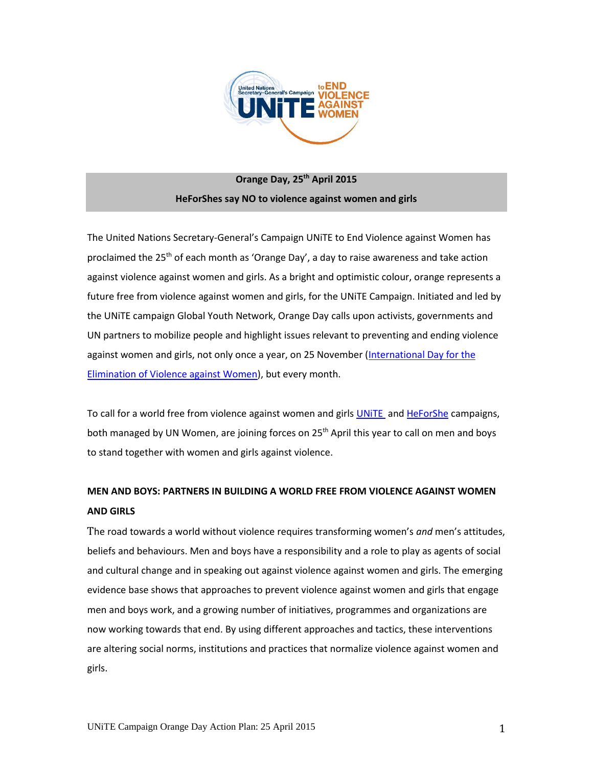

# **Orange Day, 25th April 2015 HeForShes say NO to violence against women and girls**

The United Nations Secretary-General's Campaign UNiTE to End Violence against Women has proclaimed the 25<sup>th</sup> of each month as 'Orange Day', a day to raise awareness and take action against violence against women and girls. As a bright and optimistic colour, orange represents a future free from violence against women and girls, for the UNiTE Campaign. Initiated and led by the UNiTE campaign Global Youth Network, Orange Day calls upon activists, governments and UN partners to mobilize people and highlight issues relevant to preventing and ending violence against women and girls, not only once a year, on 25 November [\(International Day for the](http://www.unwomen.org/en/news/in-focus/end-violence-against-women)  [Elimination of Violence against Women\)](http://www.unwomen.org/en/news/in-focus/end-violence-against-women), but every month.

To call for a world free from violence against women and girls UNITE and [HeForShe](http://www.heforshe.org/) campaigns, both managed by UN Women, are joining forces on 25<sup>th</sup> April this year to call on men and boys to stand together with women and girls against violence.

# **MEN AND BOYS: PARTNERS IN BUILDING A WORLD FREE FROM VIOLENCE AGAINST WOMEN AND GIRLS**

The road towards a world without violence requires transforming women's *and* men's attitudes, beliefs and behaviours. Men and boys have a responsibility and a role to play as agents of social and cultural change and in speaking out against violence against women and girls. The emerging evidence base shows that approaches to prevent violence against women and girls that engage men and boys work, and a growing number of initiatives, programmes and organizations are now working towards that end. By using different approaches and tactics, these interventions are altering social norms, institutions and practices that normalize violence against women and girls.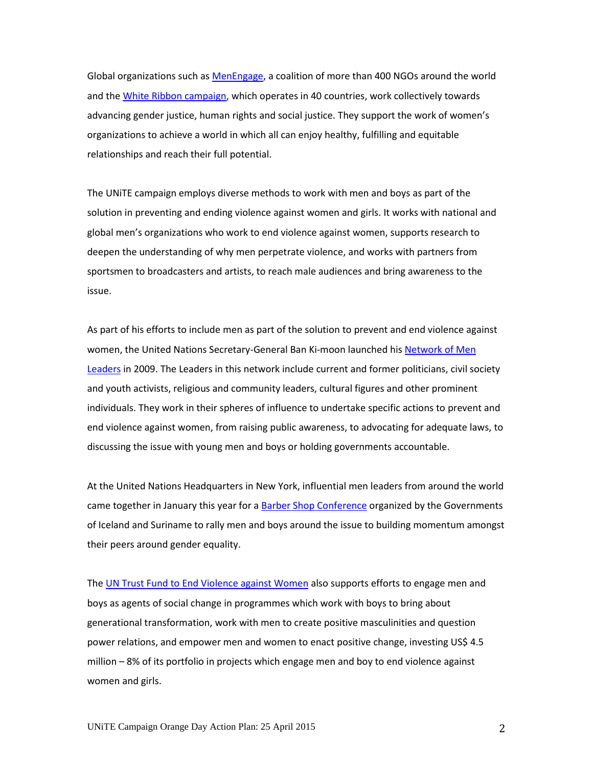Global organizations such as [MenEngage,](http://menengage.org/) a coalition of more than 400 NGOs around the world and th[e White Ribbon campaign,](http://www.whiteribbon.ca/) which operates in 40 countries, work collectively towards advancing gender justice, human rights and social justice. They support the work of women's organizations to achieve a world in which all can enjoy healthy, fulfilling and equitable relationships and reach their full potential.

The UNiTE campaign employs diverse methods to work with men and boys as part of the solution in preventing and ending violence against women and girls. It works with national and global men's organizations who work to end violence against women, supports research to deepen the understanding of why men perpetrate violence, and works with partners from sportsmen to broadcasters and artists, to reach male audiences and bring awareness to the issue.

As part of his efforts to include men as part of the solution to prevent and end violence against women, the United Nations Secretary-General Ban Ki-moon launched his Network of Men [Leaders](http://www.un.org/en/women/endviolence/network.shtml) in 2009. The Leaders in this network include current and former politicians, civil society and youth activists, religious and community leaders, cultural figures and other prominent individuals. They work in their spheres of influence to undertake specific actions to prevent and end violence against women, from raising public awareness, to advocating for adequate laws, to discussing the issue with young men and boys or holding governments accountable.

At the United Nations Headquarters in New York, influential men leaders from around the world came together in January this year for a [Barber Shop Conference](http://www.barbershopconference.org/) organized by the Governments of Iceland and Suriname to rally men and boys around the issue to building momentum amongst their peers around gender equality.

The [UN Trust Fund to End Violence against Women](http://www.unwomen.org/en/trust-funds/un-trust-fund-to-end-violence-against-women) also supports efforts to engage men and boys as agents of social change in programmes which work with boys to bring about generational transformation, work with men to create positive masculinities and question power relations, and empower men and women to enact positive change, investing US\$ 4.5 million – 8% of its portfolio in projects which engage men and boy to end violence against women and girls.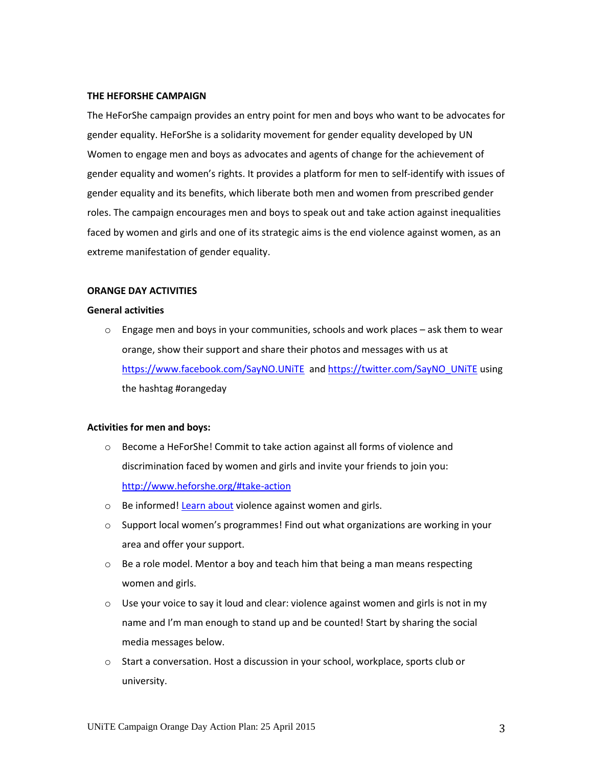#### **THE HEFORSHE CAMPAIGN**

The HeForShe campaign provides an entry point for men and boys who want to be advocates for gender equality. HeForShe is a solidarity movement for gender equality developed by UN Women to engage men and boys as advocates and agents of change for the achievement of gender equality and women's rights. It provides a platform for men to self-identify with issues of gender equality and its benefits, which liberate both men and women from prescribed gender roles. The campaign encourages men and boys to speak out and take action against inequalities faced by women and girls and one of its strategic aims is the end violence against women, as an extreme manifestation of gender equality.

### **ORANGE DAY ACTIVITIES**

#### **General activities**

 $\circ$  Engage men and boys in your communities, schools and work places – ask them to wear orange, show their support and share their photos and messages with us at <https://www.facebook.com/SayNO.UNiTE> an[d https://twitter.com/SayNO\\_UNiTE](https://twitter.com/SayNO_UNiTE) using the hashtag #orangeday

## **Activities for men and boys:**

- o Become a HeForShe! Commit to take action against all forms of violence and discrimination faced by women and girls and invite your friends to join you: <http://www.heforshe.org/#take-action>
- o Be informed[! Learn about](http://beijing20.unwomen.org/en/infographic/evaw) violence against women and girls.
- $\circ$  Support local women's programmes! Find out what organizations are working in your area and offer your support.
- $\circ$  Be a role model. Mentor a boy and teach him that being a man means respecting women and girls.
- $\circ$  Use your voice to say it loud and clear: violence against women and girls is not in my name and I'm man enough to stand up and be counted! Start by sharing the social media messages below.
- o Start a conversation. Host a discussion in your school, workplace, sports club or university.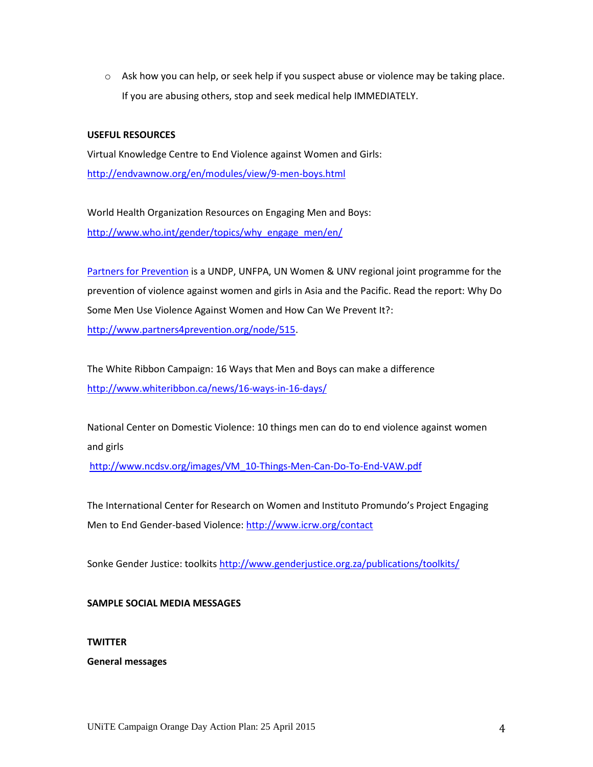o Ask how you can help, or seek help if you suspect abuse or violence may be taking place. If you are abusing others, stop and seek medical help IMMEDIATELY.

## **USEFUL RESOURCES**

Virtual Knowledge Centre to End Violence against Women and Girls: <http://endvawnow.org/en/modules/view/9-men-boys.html>

World Health Organization Resources on Engaging Men and Boys: [http://www.who.int/gender/topics/why\\_engage\\_men/en/](http://www.who.int/gender/topics/why_engage_men/en/)

[Partners for Prevention](http://www.partners4prevention.org/) is a UNDP, UNFPA, UN Women & UNV regional joint programme for the prevention of violence against women and girls in Asia and the Pacific. Read the report: Why Do Some Men Use Violence Against Women and How Can We Prevent It?: [http://www.partners4prevention.org/node/515.](http://www.partners4prevention.org/node/515)

The White Ribbon Campaign: 16 Ways that Men and Boys can make a difference <http://www.whiteribbon.ca/news/16-ways-in-16-days/>

National Center on Domestic Violence: 10 things men can do to end violence against women and girls

[http://www.ncdsv.org/images/VM\\_10-Things-Men-Can-Do-To-End-VAW.pdf](http://www.ncdsv.org/images/VM_10-Things-Men-Can-Do-To-End-VAW.pdf)

The International Center for Research on Women and Instituto Promundo's Project Engaging Men to End Gender-based Violence:<http://www.icrw.org/contact>

Sonke Gender Justice: toolkit[s http://www.genderjustice.org.za/publications/toolkits/](http://www.genderjustice.org.za/publications/toolkits/)

## **SAMPLE SOCIAL MEDIA MESSAGES**

**TWITTER**

**General messages**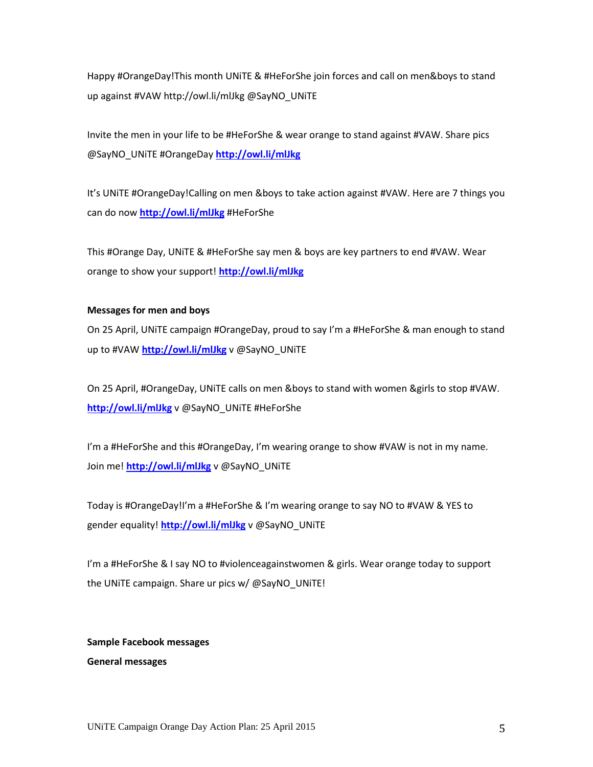Happy #OrangeDay!This month UNiTE & #HeForShe join forces and call on men&boys to stand up against #VAW http://owl.li/mlJkg @SayNO\_UNiTE

Invite the men in your life to be #HeForShe & wear orange to stand against #VAW. Share pics @SayNO\_UNiTE #OrangeDay **<http://owl.li/mlJkg>**

It's UNiTE #OrangeDay!Calling on men &boys to take action against #VAW. Here are 7 things you can do now **<http://owl.li/mlJkg>** #HeForShe

This #Orange Day, UNiTE & #HeForShe say men & boys are key partners to end #VAW. Wear orange to show your support! **<http://owl.li/mlJkg>**

## **Messages for men and boys**

On 25 April, UNiTE campaign #OrangeDay, proud to say I'm a #HeForShe & man enough to stand up to #VAW **<http://owl.li/mlJkg>** v @SayNO\_UNiTE

On 25 April, #OrangeDay, UNiTE calls on men &boys to stand with women &girls to stop #VAW. **<http://owl.li/mlJkg>** v @SayNO\_UNiTE #HeForShe

I'm a #HeForShe and this #OrangeDay, I'm wearing orange to show #VAW is not in my name. Join me! **<http://owl.li/mlJkg>** v @SayNO\_UNiTE

Today is #OrangeDay!I'm a #HeForShe & I'm wearing orange to say NO to #VAW & YES to gender equality! **<http://owl.li/mlJkg>** v @SayNO\_UNiTE

I'm a #HeForShe & I say NO to #violenceagainstwomen & girls. Wear orange today to support the UNiTE campaign. Share ur pics w/ @SayNO\_UNiTE!

# **Sample Facebook messages General messages**